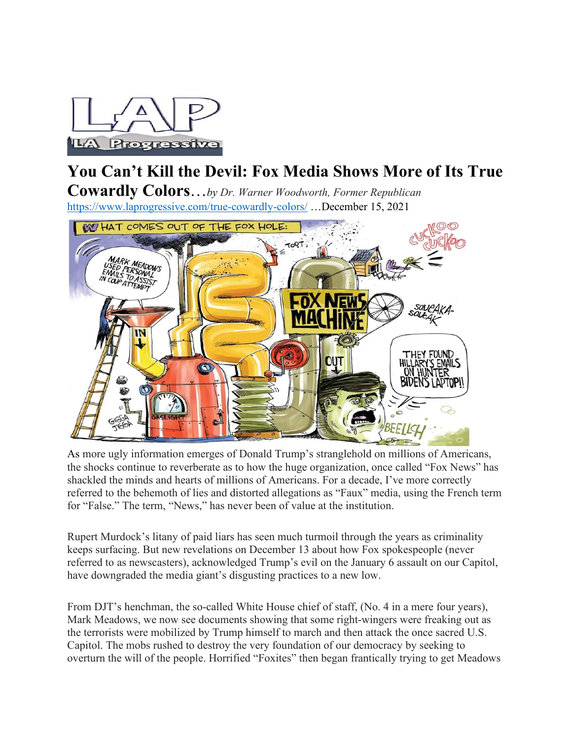

# **You Can't Kill the Devil: Fox Media Shows More of Its True**

**Cowardly Colors**…*by Dr. Warner Woodworth, Former Republican* <https://www.laprogressive.com/true-cowardly-colors/> …December 15, 2021



As more ugly information emerges of Donald Trump's stranglehold on millions of Americans, the shocks continue to reverberate as to how the huge organization, once called "Fox News" has shackled the minds and hearts of millions of Americans. For a decade, I've more correctly referred to the behemoth of lies and distorted allegations as "Faux" media, using the French term for "False." The term, "News," has never been of value at the institution.

Rupert Murdock's litany of paid liars has seen much turmoil through the years as criminality keeps surfacing. But new revelations on December 13 about how Fox spokespeople (never referred to as newscasters), acknowledged Trump's evil on the January 6 assault on our Capitol, have downgraded the media giant's disgusting practices to a new low.

From DJT's henchman, the so-called White House chief of staff, (No. 4 in a mere four years), Mark Meadows, we now see documents showing that some right-wingers were freaking out as the terrorists were mobilized by Trump himself to march and then attack the once sacred U.S. Capitol. The mobs rushed to destroy the very foundation of our democracy by seeking to overturn the will of the people. Horrified "Foxites" then began frantically trying to get Meadows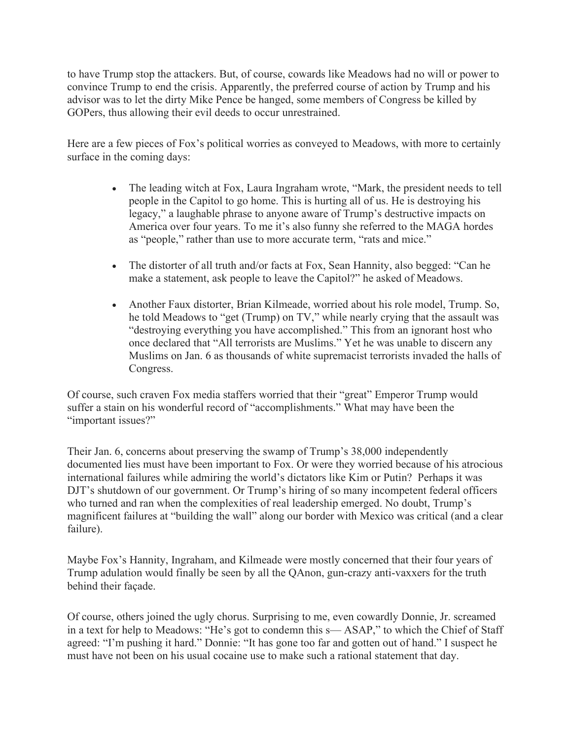to have Trump stop the attackers. But, of course, cowards like Meadows had no will or power to convince Trump to end the crisis. Apparently, the preferred course of action by Trump and his advisor was to let the dirty Mike Pence be hanged, some members of Congress be killed by GOPers, thus allowing their evil deeds to occur unrestrained.

Here are a few pieces of Fox's political worries as conveyed to Meadows, with more to certainly surface in the coming days:

- The leading witch at Fox, Laura Ingraham wrote, "Mark, the president needs to tell people in the Capitol to go home. This is hurting all of us. He is destroying his legacy," a laughable phrase to anyone aware of Trump's destructive impacts on America over four years. To me it's also funny she referred to the MAGA hordes as "people," rather than use to more accurate term, "rats and mice."
- The distorter of all truth and/or facts at Fox, Sean Hannity, also begged: "Can he make a statement, ask people to leave the Capitol?" he asked of Meadows.
- Another Faux distorter, Brian Kilmeade, worried about his role model, Trump. So, he told Meadows to "get (Trump) on TV," while nearly crying that the assault was "destroying everything you have accomplished." This from an ignorant host who once declared that "All terrorists are Muslims." Yet he was unable to discern any Muslims on Jan. 6 as thousands of white supremacist terrorists invaded the halls of Congress.

Of course, such craven Fox media staffers worried that their "great" Emperor Trump would suffer a stain on his wonderful record of "accomplishments." What may have been the "important issues?"

Their Jan. 6, concerns about preserving the swamp of Trump's 38,000 independently documented lies must have been important to Fox. Or were they worried because of his atrocious international failures while admiring the world's dictators like Kim or Putin? Perhaps it was DJT's shutdown of our government. Or Trump's hiring of so many incompetent federal officers who turned and ran when the complexities of real leadership emerged. No doubt, Trump's magnificent failures at "building the wall" along our border with Mexico was critical (and a clear failure).

Maybe Fox's Hannity, Ingraham, and Kilmeade were mostly concerned that their four years of Trump adulation would finally be seen by all the QAnon, gun-crazy anti-vaxxers for the truth behind their façade.

Of course, others joined the ugly chorus. Surprising to me, even cowardly Donnie, Jr. screamed in a text for help to Meadows: "He's got to condemn this s— ASAP," to which the Chief of Staff agreed: "I'm pushing it hard." Donnie: "It has gone too far and gotten out of hand." I suspect he must have not been on his usual cocaine use to make such a rational statement that day.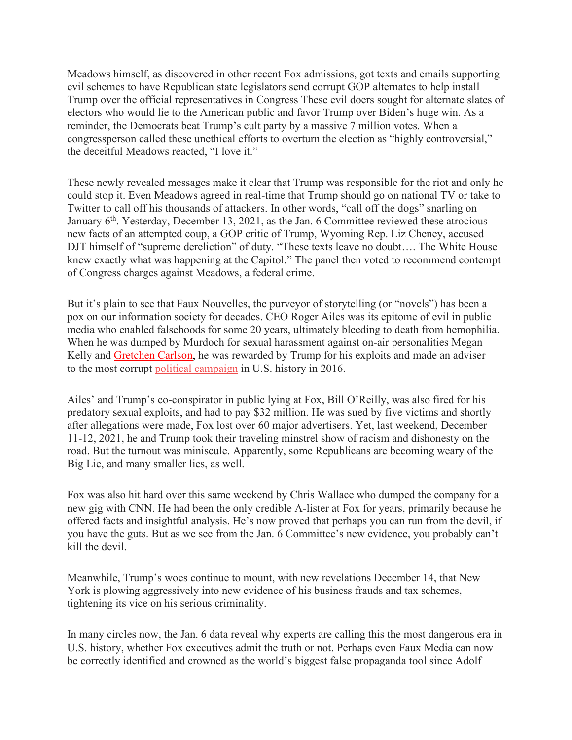Meadows himself, as discovered in other recent Fox admissions, got texts and emails supporting evil schemes to have Republican state legislators send corrupt GOP alternates to help install Trump over the official representatives in Congress These evil doers sought for alternate slates of electors who would lie to the American public and favor Trump over Biden's huge win. As a reminder, the Democrats beat Trump's cult party by a massive 7 million votes. When a congressperson called these unethical efforts to overturn the election as "highly controversial," the deceitful Meadows reacted, "I love it."

These newly revealed messages make it clear that Trump was responsible for the riot and only he could stop it. Even Meadows agreed in real-time that Trump should go on national TV or take to Twitter to call off his thousands of attackers. In other words, "call off the dogs" snarling on January  $6<sup>th</sup>$ . Yesterday, December 13, 2021, as the Jan. 6 Committee reviewed these atrocious new facts of an attempted coup, a GOP critic of Trump, Wyoming Rep. Liz Cheney, accused DJT himself of "supreme dereliction" of duty. "These texts leave no doubt…. The White House knew exactly what was happening at the Capitol." The panel then voted to recommend contempt of Congress charges against Meadows, a federal crime.

But it's plain to see that Faux Nouvelles, the purveyor of storytelling (or "novels") has been a pox on our information society for decades. CEO Roger Ailes was its epitome of evil in public media who enabled falsehoods for some 20 years, ultimately bleeding to death from hemophilia. When he was dumped by Murdoch for sexual harassment against on-air personalities Megan Kelly and [Gretchen Carlson,](https://en.wikipedia.org/wiki/Gretchen_Carlson) he was rewarded by Trump for his exploits and made an adviser to the most corrupt [political campaign](https://en.wikipedia.org/wiki/Donald_Trump_presidential_campaign,_2016) in U.S. history in 2016.

Ailes' and Trump's co-conspirator in public lying at Fox, Bill O'Reilly, was also fired for his predatory sexual exploits, and had to pay \$32 million. He was sued by five victims and shortly after allegations were made, Fox lost over 60 major advertisers. Yet, last weekend, December 11-12, 2021, he and Trump took their traveling minstrel show of racism and dishonesty on the road. But the turnout was miniscule. Apparently, some Republicans are becoming weary of the Big Lie, and many smaller lies, as well.

Fox was also hit hard over this same weekend by Chris Wallace who dumped the company for a new gig with CNN. He had been the only credible A-lister at Fox for years, primarily because he offered facts and insightful analysis. He's now proved that perhaps you can run from the devil, if you have the guts. But as we see from the Jan. 6 Committee's new evidence, you probably can't kill the devil.

Meanwhile, Trump's woes continue to mount, with new revelations December 14, that New York is plowing aggressively into new evidence of his business frauds and tax schemes, tightening its vice on his serious criminality.

In many circles now, the Jan. 6 data reveal why experts are calling this the most dangerous era in U.S. history, whether Fox executives admit the truth or not. Perhaps even Faux Media can now be correctly identified and crowned as the world's biggest false propaganda tool since Adolf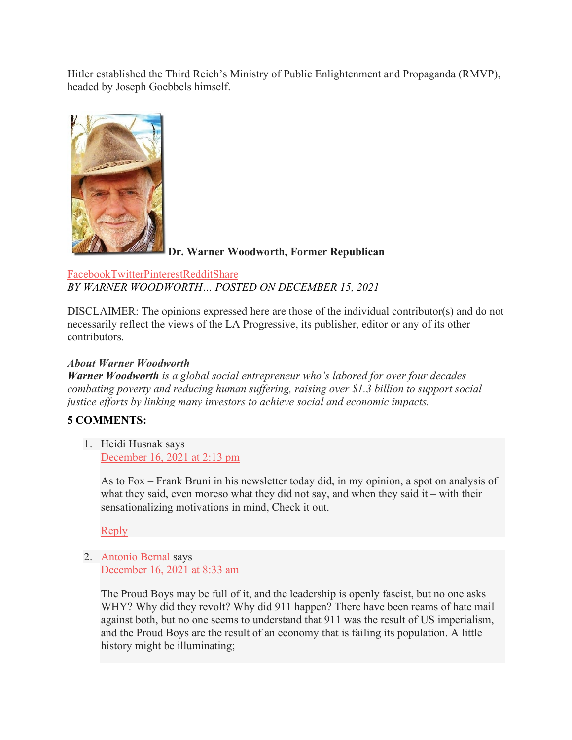Hitler established the Third Reich's Ministry of Public Enlightenment and Propaganda (RMVP), headed by Joseph Goebbels himself.



**Dr. Warner Woodworth, Former Republican**

#### [Facebook](https://www.laprogressive.com/#facebook)[Twitter](https://www.laprogressive.com/#twitter)[Pinterest](https://www.laprogressive.com/#pinterest)[Reddit](https://www.laprogressive.com/#reddit)[Share](https://www.addtoany.com/share#url=https%3A%2F%2Fwww.laprogressive.com%2Ftrue-cowardly-colors%2F&title=You%20Can%E2%80%99t%20Kill%20the%20Devil%3A%20Fox%20Media%20Shows%20More%20of%20Its%20True%20Cowardly%20Colors) *BY [WARNER WOODWORTH…](https://www.laprogressive.com/author/warner-woodworth/) POSTED ON DECEMBER 15, 2021*

DISCLAIMER: The opinions expressed here are those of the individual contributor(s) and do not necessarily reflect the views of the LA Progressive, its publisher, editor or any of its other contributors.

## *About Warner Woodworth*

*Warner Woodworth is a global social entrepreneur who's labored for over four decades combating poverty and reducing human suffering, raising over \$1.3 billion to support social justice efforts by linking many investors to achieve social and economic impacts.* 

## **5 COMMENTS:**

1. Heidi Husnak says [December 16, 2021 at 2:13 pm](https://www.laprogressive.com/true-cowardly-colors/#comment-1764425)

> As to Fox – Frank Bruni in his newsletter today did, in my opinion, a spot on analysis of what they said, even moreso what they did not say, and when they said it – with their sensationalizing motivations in mind, Check it out.

[Reply](https://www.laprogressive.com/true-cowardly-colors/#comment-1764425)

2. [Antonio Bernal](http://antonio-diferencia.blogspot.com/2008/04) says [December 16, 2021 at 8:33 am](https://www.laprogressive.com/true-cowardly-colors/#comment-1764331)

> The Proud Boys may be full of it, and the leadership is openly fascist, but no one asks WHY? Why did they revolt? Why did 911 happen? There have been reams of hate mail against both, but no one seems to understand that 911 was the result of US imperialism, and the Proud Boys are the result of an economy that is failing its population. A little history might be illuminating;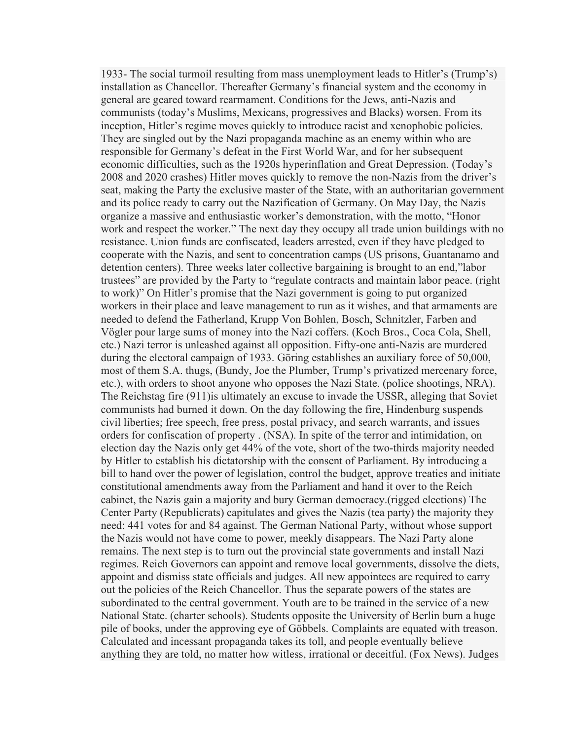1933- The social turmoil resulting from mass unemployment leads to Hitler's (Trump's) installation as Chancellor. Thereafter Germany's financial system and the economy in general are geared toward rearmament. Conditions for the Jews, anti-Nazis and communists (today's Muslims, Mexicans, progressives and Blacks) worsen. From its inception, Hitler's regime moves quickly to introduce racist and xenophobic policies. They are singled out by the Nazi propaganda machine as an enemy within who are responsible for Germany's defeat in the First World War, and for her subsequent economic difficulties, such as the 1920s hyperinflation and Great Depression. (Today's 2008 and 2020 crashes) Hitler moves quickly to remove the non-Nazis from the driver's seat, making the Party the exclusive master of the State, with an authoritarian government and its police ready to carry out the Nazification of Germany. On May Day, the Nazis organize a massive and enthusiastic worker's demonstration, with the motto, "Honor work and respect the worker." The next day they occupy all trade union buildings with no resistance. Union funds are confiscated, leaders arrested, even if they have pledged to cooperate with the Nazis, and sent to concentration camps (US prisons, Guantanamo and detention centers). Three weeks later collective bargaining is brought to an end,"labor trustees" are provided by the Party to "regulate contracts and maintain labor peace. (right to work)" On Hitler's promise that the Nazi government is going to put organized workers in their place and leave management to run as it wishes, and that armaments are needed to defend the Fatherland, Krupp Von Bohlen, Bosch, Schnitzler, Farben and Vögler pour large sums of money into the Nazi coffers. (Koch Bros., Coca Cola, Shell, etc.) Nazi terror is unleashed against all opposition. Fifty-one anti-Nazis are murdered during the electoral campaign of 1933. Göring establishes an auxiliary force of 50,000, most of them S.A. thugs, (Bundy, Joe the Plumber, Trump's privatized mercenary force, etc.), with orders to shoot anyone who opposes the Nazi State. (police shootings, NRA). The Reichstag fire (911)is ultimately an excuse to invade the USSR, alleging that Soviet communists had burned it down. On the day following the fire, Hindenburg suspends civil liberties; free speech, free press, postal privacy, and search warrants, and issues orders for confiscation of property . (NSA). In spite of the terror and intimidation, on election day the Nazis only get 44% of the vote, short of the two-thirds majority needed by Hitler to establish his dictatorship with the consent of Parliament. By introducing a bill to hand over the power of legislation, control the budget, approve treaties and initiate constitutional amendments away from the Parliament and hand it over to the Reich cabinet, the Nazis gain a majority and bury German democracy.(rigged elections) The Center Party (Republicrats) capitulates and gives the Nazis (tea party) the majority they need: 441 votes for and 84 against. The German National Party, without whose support the Nazis would not have come to power, meekly disappears. The Nazi Party alone remains. The next step is to turn out the provincial state governments and install Nazi regimes. Reich Governors can appoint and remove local governments, dissolve the diets, appoint and dismiss state officials and judges. All new appointees are required to carry out the policies of the Reich Chancellor. Thus the separate powers of the states are subordinated to the central government. Youth are to be trained in the service of a new National State. (charter schools). Students opposite the University of Berlin burn a huge pile of books, under the approving eye of Göbbels. Complaints are equated with treason. Calculated and incessant propaganda takes its toll, and people eventually believe anything they are told, no matter how witless, irrational or deceitful. (Fox News). Judges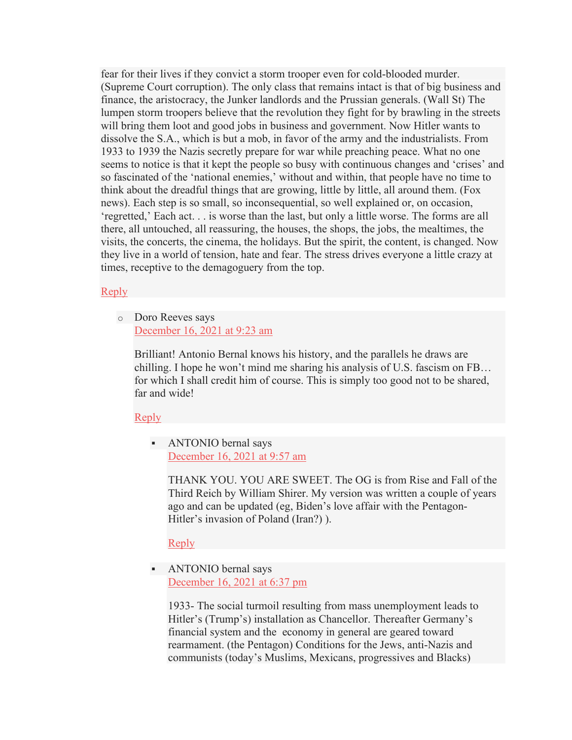fear for their lives if they convict a storm trooper even for cold-blooded murder. (Supreme Court corruption). The only class that remains intact is that of big business and finance, the aristocracy, the Junker landlords and the Prussian generals. (Wall St) The lumpen storm troopers believe that the revolution they fight for by brawling in the streets will bring them loot and good jobs in business and government. Now Hitler wants to dissolve the S.A., which is but a mob, in favor of the army and the industrialists. From 1933 to 1939 the Nazis secretly prepare for war while preaching peace. What no one seems to notice is that it kept the people so busy with continuous changes and 'crises' and so fascinated of the 'national enemies,' without and within, that people have no time to think about the dreadful things that are growing, little by little, all around them. (Fox news). Each step is so small, so inconsequential, so well explained or, on occasion, 'regretted,' Each act. . . is worse than the last, but only a little worse. The forms are all there, all untouched, all reassuring, the houses, the shops, the jobs, the mealtimes, the visits, the concerts, the cinema, the holidays. But the spirit, the content, is changed. Now they live in a world of tension, hate and fear. The stress drives everyone a little crazy at times, receptive to the demagoguery from the top.

#### [Reply](https://www.laprogressive.com/true-cowardly-colors/#comment-1764331)

o Doro Reeves says [December 16, 2021 at 9:23 am](https://www.laprogressive.com/true-cowardly-colors/#comment-1764348)

> Brilliant! Antonio Bernal knows his history, and the parallels he draws are chilling. I hope he won't mind me sharing his analysis of U.S. fascism on FB… for which I shall credit him of course. This is simply too good not to be shared, far and wide!

[Reply](https://www.laprogressive.com/true-cowardly-colors/#comment-1764348)

 ANTONIO bernal says [December 16, 2021 at 9:57 am](https://www.laprogressive.com/true-cowardly-colors/#comment-1764355)

> THANK YOU. YOU ARE SWEET. The OG is from Rise and Fall of the Third Reich by William Shirer. My version was written a couple of years ago and can be updated (eg, Biden's love affair with the Pentagon-Hitler's invasion of Poland (Iran?) ).

[Reply](https://www.laprogressive.com/true-cowardly-colors/#comment-1764355)

 ANTONIO bernal says [December 16, 2021 at 6:37 pm](https://www.laprogressive.com/true-cowardly-colors/#comment-1764493)

> 1933- The social turmoil resulting from mass unemployment leads to Hitler's (Trump's) installation as Chancellor. Thereafter Germany's financial system and the economy in general are geared toward rearmament. (the Pentagon) Conditions for the Jews, anti-Nazis and communists (today's Muslims, Mexicans, progressives and Blacks)